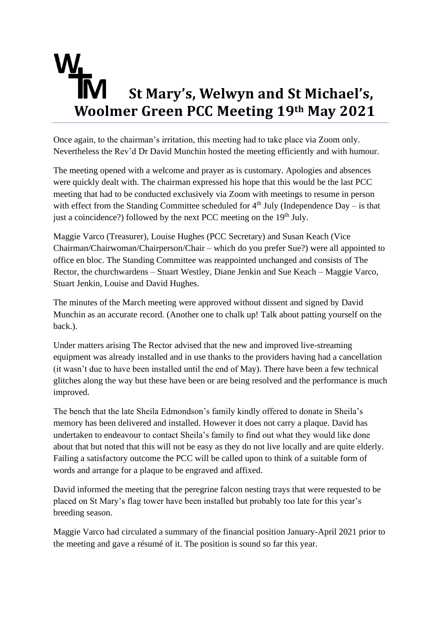## **St Mary's, Welwyn and St Michael's, Woolmer Green PCC Meeting 19th May 2021**

Once again, to the chairman's irritation, this meeting had to take place via Zoom only. Nevertheless the Rev'd Dr David Munchin hosted the meeting efficiently and with humour.

The meeting opened with a welcome and prayer as is customary. Apologies and absences were quickly dealt with. The chairman expressed his hope that this would be the last PCC meeting that had to be conducted exclusively via Zoom with meetings to resume in person with effect from the Standing Committee scheduled for  $4<sup>th</sup>$  July (Independence Day – is that just a coincidence?) followed by the next PCC meeting on the  $19<sup>th</sup>$  July.

Maggie Varco (Treasurer), Louise Hughes (PCC Secretary) and Susan Keach (Vice Chairman/Chairwoman/Chairperson/Chair – which do you prefer Sue?) were all appointed to office en bloc. The Standing Committee was reappointed unchanged and consists of The Rector, the churchwardens – Stuart Westley, Diane Jenkin and Sue Keach – Maggie Varco, Stuart Jenkin, Louise and David Hughes.

The minutes of the March meeting were approved without dissent and signed by David Munchin as an accurate record. (Another one to chalk up! Talk about patting yourself on the back.).

Under matters arising The Rector advised that the new and improved live-streaming equipment was already installed and in use thanks to the providers having had a cancellation (it wasn't due to have been installed until the end of May). There have been a few technical glitches along the way but these have been or are being resolved and the performance is much improved.

The bench that the late Sheila Edmondson's family kindly offered to donate in Sheila's memory has been delivered and installed. However it does not carry a plaque. David has undertaken to endeavour to contact Sheila's family to find out what they would like done about that but noted that this will not be easy as they do not live locally and are quite elderly. Failing a satisfactory outcome the PCC will be called upon to think of a suitable form of words and arrange for a plaque to be engraved and affixed.

David informed the meeting that the peregrine falcon nesting trays that were requested to be placed on St Mary's flag tower have been installed but probably too late for this year's breeding season.

Maggie Varco had circulated a summary of the financial position January-April 2021 prior to the meeting and gave a résumé of it. The position is sound so far this year.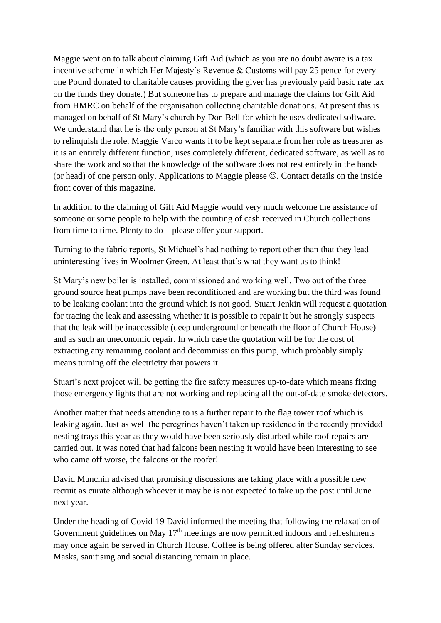Maggie went on to talk about claiming Gift Aid (which as you are no doubt aware is a tax incentive scheme in which Her Majesty's Revenue & Customs will pay 25 pence for every one Pound donated to charitable causes providing the giver has previously paid basic rate tax on the funds they donate.) But someone has to prepare and manage the claims for Gift Aid from HMRC on behalf of the organisation collecting charitable donations. At present this is managed on behalf of St Mary's church by Don Bell for which he uses dedicated software. We understand that he is the only person at St Mary's familiar with this software but wishes to relinquish the role. Maggie Varco wants it to be kept separate from her role as treasurer as it is an entirely different function, uses completely different, dedicated software, as well as to share the work and so that the knowledge of the software does not rest entirely in the hands (or head) of one person only. Applications to Maggie please ☺. Contact details on the inside front cover of this magazine.

In addition to the claiming of Gift Aid Maggie would very much welcome the assistance of someone or some people to help with the counting of cash received in Church collections from time to time. Plenty to do – please offer your support.

Turning to the fabric reports, St Michael's had nothing to report other than that they lead uninteresting lives in Woolmer Green. At least that's what they want us to think!

St Mary's new boiler is installed, commissioned and working well. Two out of the three ground source heat pumps have been reconditioned and are working but the third was found to be leaking coolant into the ground which is not good. Stuart Jenkin will request a quotation for tracing the leak and assessing whether it is possible to repair it but he strongly suspects that the leak will be inaccessible (deep underground or beneath the floor of Church House) and as such an uneconomic repair. In which case the quotation will be for the cost of extracting any remaining coolant and decommission this pump, which probably simply means turning off the electricity that powers it.

Stuart's next project will be getting the fire safety measures up-to-date which means fixing those emergency lights that are not working and replacing all the out-of-date smoke detectors.

Another matter that needs attending to is a further repair to the flag tower roof which is leaking again. Just as well the peregrines haven't taken up residence in the recently provided nesting trays this year as they would have been seriously disturbed while roof repairs are carried out. It was noted that had falcons been nesting it would have been interesting to see who came off worse, the falcons or the roofer!

David Munchin advised that promising discussions are taking place with a possible new recruit as curate although whoever it may be is not expected to take up the post until June next year.

Under the heading of Covid-19 David informed the meeting that following the relaxation of Government guidelines on May  $17<sup>th</sup>$  meetings are now permitted indoors and refreshments may once again be served in Church House. Coffee is being offered after Sunday services. Masks, sanitising and social distancing remain in place.